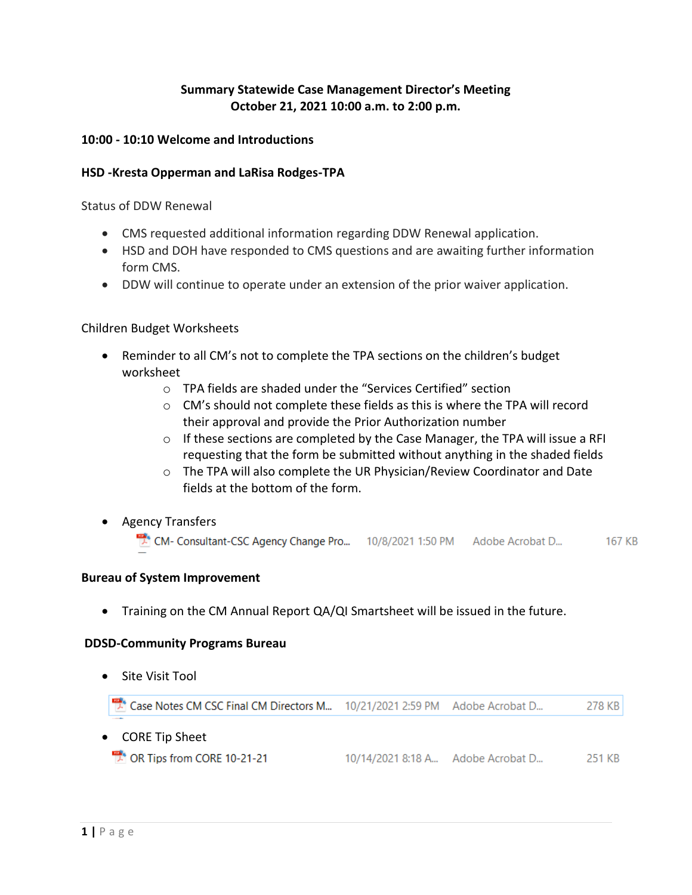# **Summary Statewide Case Management Director's Meeting October 21, 2021 10:00 a.m. to 2:00 p.m.**

## **10:00 - 10:10 Welcome and Introductions**

#### **HSD -Kresta Opperman and LaRisa Rodges-TPA**

Status of DDW Renewal

- CMS requested additional information regarding DDW Renewal application.
- HSD and DOH have responded to CMS questions and are awaiting further information form CMS.
- DDW will continue to operate under an extension of the prior waiver application.

### Children Budget Worksheets

- Reminder to all CM's not to complete the TPA sections on the children's budget worksheet
	- o TPA fields are shaded under the "Services Certified" section
	- $\circ$  CM's should not complete these fields as this is where the TPA will record their approval and provide the Prior Authorization number
	- $\circ$  If these sections are completed by the Case Manager, the TPA will issue a RFI requesting that the form be submitted without anything in the shaded fields
	- o The TPA will also complete the UR Physician/Review Coordinator and Date fields at the bottom of the form.
- Agency Transfers

CM-Consultant-CSC Agency Change Pro... 10/8/2021 1:50 PM Adobe Acrobat D... 167 KB

#### **Bureau of System Improvement**

• Training on the CM Annual Report QA/QI Smartsheet will be issued in the future.

#### **DDSD-Community Programs Bureau**

• Site Visit Tool

Case Notes CM CSC Final CM Directors M... 10/21/2021 2:59 PM Adobe Acrobat D... 278 KB

- CORE Tip Sheet
	- **PA OR Tips from CORE 10-21-21**  $10/14/20218:18 \text{ A}$ ... Adobe Acrobat D... 251 KB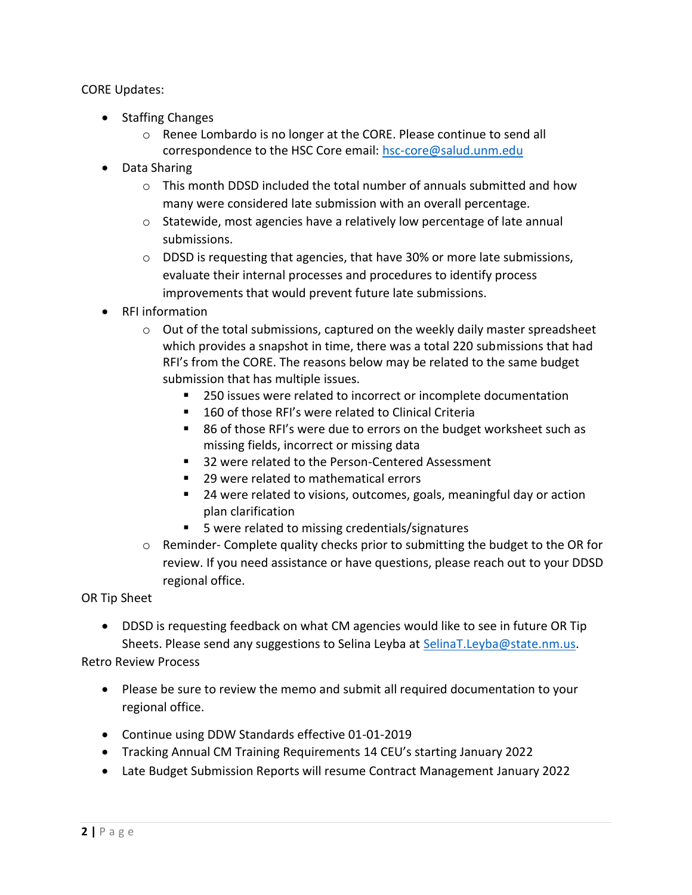## CORE Updates:

- Staffing Changes
	- o Renee Lombardo is no longer at the CORE. Please continue to send all correspondence to the HSC Core email: [hsc-core@salud.unm.edu](mailto:hsc-core@salud.unm.edu)
- Data Sharing
	- o This month DDSD included the total number of annuals submitted and how many were considered late submission with an overall percentage.
	- o Statewide, most agencies have a relatively low percentage of late annual submissions.
	- o DDSD is requesting that agencies, that have 30% or more late submissions, evaluate their internal processes and procedures to identify process improvements that would prevent future late submissions.
- RFI information
	- o Out of the total submissions, captured on the weekly daily master spreadsheet which provides a snapshot in time, there was a total 220 submissions that had RFI's from the CORE. The reasons below may be related to the same budget submission that has multiple issues.
		- 250 issues were related to incorrect or incomplete documentation
		- 160 of those RFI's were related to Clinical Criteria
		- 86 of those RFI's were due to errors on the budget worksheet such as missing fields, incorrect or missing data
		- 32 were related to the Person-Centered Assessment
		- 29 were related to mathematical errors
		- 24 were related to visions, outcomes, goals, meaningful day or action plan clarification
		- 5 were related to missing credentials/signatures
	- $\circ$  Reminder- Complete quality checks prior to submitting the budget to the OR for review. If you need assistance or have questions, please reach out to your DDSD regional office.

OR Tip Sheet

• DDSD is requesting feedback on what CM agencies would like to see in future OR Tip Sheets. Please send any suggestions to Selina Leyba at [SelinaT.Leyba@state.nm.us.](mailto:SelinaT.Leyba@state.nm.us)

Retro Review Process

- Please be sure to review the memo and submit all required documentation to your regional office.
- Continue using DDW Standards effective 01-01-2019
- Tracking Annual CM Training Requirements 14 CEU's starting January 2022
- Late Budget Submission Reports will resume Contract Management January 2022